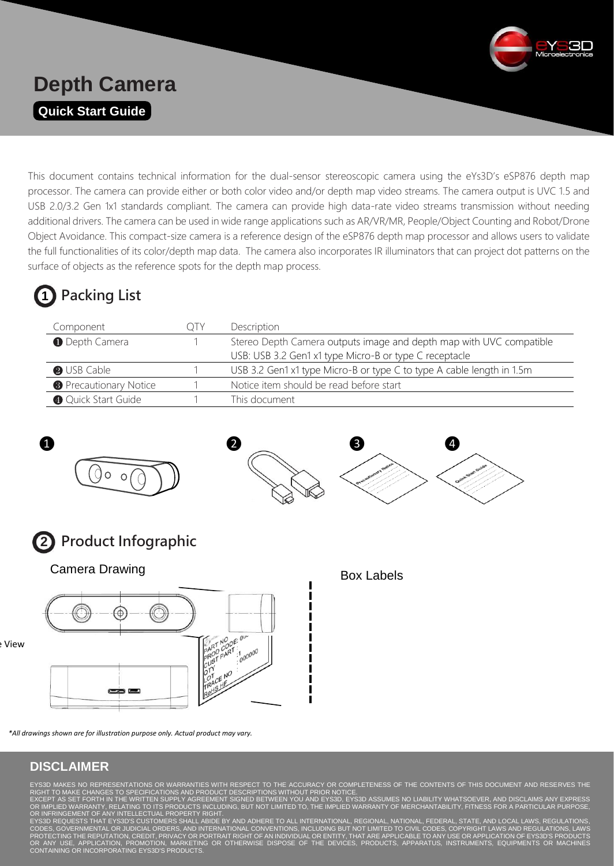

## **Depth Camera Quick Start Guide**

This document contains technical information for the dual-sensor stereoscopic camera using the eYs3D's eSP876 depth map processor. The camera can provide either or both color video and/or depth map video streams. The camera output is UVC 1.5 and USB 2.0/3.2 Gen 1x1 standards compliant. The camera can provide high data-rate video streams transmission without needing additional drivers. The camera can be used in wide range applications such as AR/VR/MR, People/Object Counting and Robot/Drone Object Avoidance. This compact-size camera is a reference design of the eSP876 depth map processor and allows users to validate the full functionalities of its color/depth map data. The camera also incorporates IR illuminators that can project dot patterns on the surface of objects as the reference spots for the depth map process.

# **1 Packing List**

| Component                     | <b>Description</b>                                                    |
|-------------------------------|-----------------------------------------------------------------------|
| <b>O</b> Depth Camera         | Stereo Depth Camera outputs image and depth map with UVC compatible   |
|                               | USB: USB 3.2 Gen1 x1 type Micro-B or type C receptacle                |
| <b>O</b> USB Cable            | USB 3.2 Gen1 x1 type Micro-B or type C to type A cable length in 1.5m |
| <b>B</b> Precautionary Notice | Notice item should be read before start                               |
| Quick Start Guide             | This document                                                         |





**2 Product Infographic** 

Camera Drawing **Box Labels** Box Labels



e View

*\*All drawings shown are for illustration purpose only. Actual product may vary.*

### **DISCLAIMER**

RIGHT TO MAKE CHANGES TO SPECIFICATIONS AND PRODUCT DESCRIPTIONS WITHOUT PRIOR NOTICE.

EXCEPT AS SET FORTH IN THE WRITTEN SUPPLY AGREEMENT SIGNED BETWEEN YOU AND EYS3D, EYS3D ASSUMES NO LIABILITY WHATSOEVER, AND DISCLAIMS ANY EXPRESS<br>OR IMPLIED WARRANTY, RELATING TO ITS PRODUCTS INCLUDING, BUT NOT LIMITED TO OR INFRINGEMENT OF ANY INTELLECTUAL PROPERTY RIGHT.

FEDERAL, STATE, AND LOCA CODES, GOVERNMENTAL OR JUDICIAL ORDERS, AND INTERNATIONAL CONVENTIONS, INCLUDING BUT NOT LIMITED TO CIVIL CODES, COPYRIGHT LAWS AND REGULATIONS, LAWS PROTECTING THE REPUTATION, CREDIT, PRIVACY OR PORTRAIT RIGHT OF AN INDIVIDUAL OR ENTITY, THAT ARE APPLICABLE TO ANY USE OR APPLICATION OF EYS3D'S PRODUCTS<br>OR ANY USE, APPLICATION, PROMOTION, MARKETING OR OTHERWISE DISPOSE OR ANY USE, APPLICATION, PROMOTION, MARKETIN<br>CONTAINING OR INCORPORATING EYS3D'S PRODUCTS